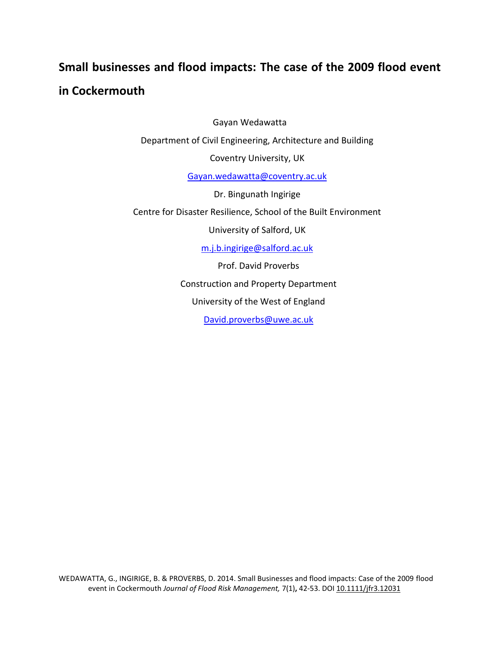# **Small businesses and flood impacts: The case of the 2009 flood event in Cockermouth**

Gayan Wedawatta Department of Civil Engineering, Architecture and Building Coventry University, UK Gayan.wedawatta@coventry.ac.uk Dr. Bingunath Ingirige Centre for Disaster Resilience, School of the Built Environment University of Salford, UK m.j.b.ingirige@salford.ac.uk Prof. David Proverbs Construction and Property Department University of the West of England David.proverbs@uwe.ac.uk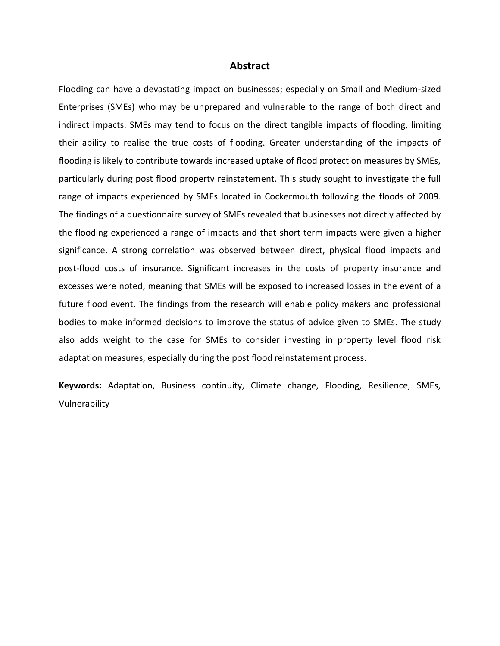#### **Abstract**

Flooding can have a devastating impact on businesses; especially on Small and Medium-sized Enterprises (SMEs) who may be unprepared and vulnerable to the range of both direct and indirect impacts. SMEs may tend to focus on the direct tangible impacts of flooding, limiting their ability to realise the true costs of flooding. Greater understanding of the impacts of flooding is likely to contribute towards increased uptake of flood protection measures by SMEs, particularly during post flood property reinstatement. This study sought to investigate the full range of impacts experienced by SMEs located in Cockermouth following the floods of 2009. The findings of a questionnaire survey of SMEs revealed that businesses not directly affected by the flooding experienced a range of impacts and that short term impacts were given a higher significance. A strong correlation was observed between direct, physical flood impacts and post-flood costs of insurance. Significant increases in the costs of property insurance and excesses were noted, meaning that SMEs will be exposed to increased losses in the event of a future flood event. The findings from the research will enable policy makers and professional bodies to make informed decisions to improve the status of advice given to SMEs. The study also adds weight to the case for SMEs to consider investing in property level flood risk adaptation measures, especially during the post flood reinstatement process.

**Keywords:** Adaptation, Business continuity, Climate change, Flooding, Resilience, SMEs, Vulnerability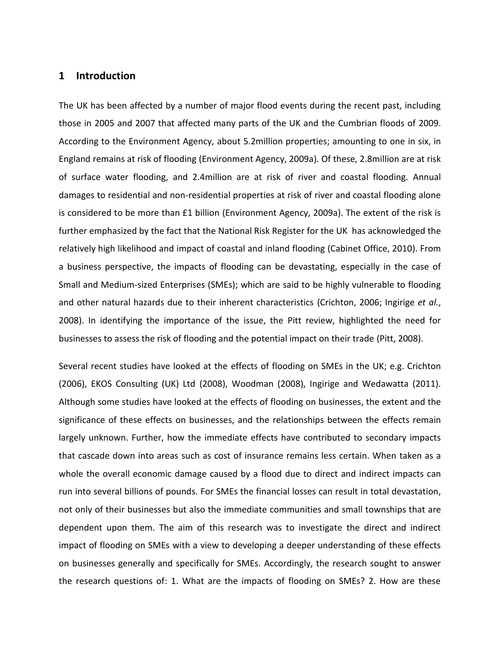### **1 Introduction**

The UK has been affected by a number of major flood events during the recent past, including those in 2005 and 2007 that affected many parts of the UK and the Cumbrian floods of 2009. According to the Environment Agency, about 5.2million properties; amounting to one in six, in England remains at risk of flooding (Environment Agency, 2009a). Of these, 2.8million are at risk of surface water flooding, and 2.4million are at risk of river and coastal flooding. Annual damages to residential and non-residential properties at risk of river and coastal flooding alone is considered to be more than £1 billion (Environment Agency, 2009a). The extent of the risk is further emphasized by the fact that the National Risk Register for the UK has acknowledged the relatively high likelihood and impact of coastal and inland flooding (Cabinet Office, 2010). From a business perspective, the impacts of flooding can be devastating, especially in the case of Small and Medium-sized Enterprises (SMEs); which are said to be highly vulnerable to flooding and other natural hazards due to their inherent characteristics (Crichton, 2006; Ingirige *et al.*, 2008). In identifying the importance of the issue, the Pitt review, highlighted the need for businesses to assess the risk of flooding and the potential impact on their trade (Pitt, 2008).

Several recent studies have looked at the effects of flooding on SMEs in the UK; e.g. Crichton (2006), EKOS Consulting (UK) Ltd (2008), Woodman (2008), Ingirige and Wedawatta (2011). Although some studies have looked at the effects of flooding on businesses, the extent and the significance of these effects on businesses, and the relationships between the effects remain largely unknown. Further, how the immediate effects have contributed to secondary impacts that cascade down into areas such as cost of insurance remains less certain. When taken as a whole the overall economic damage caused by a flood due to direct and indirect impacts can run into several billions of pounds. For SMEs the financial losses can result in total devastation, not only of their businesses but also the immediate communities and small townships that are dependent upon them. The aim of this research was to investigate the direct and indirect impact of flooding on SMEs with a view to developing a deeper understanding of these effects on businesses generally and specifically for SMEs. Accordingly, the research sought to answer the research questions of: 1. What are the impacts of flooding on SMEs? 2. How are these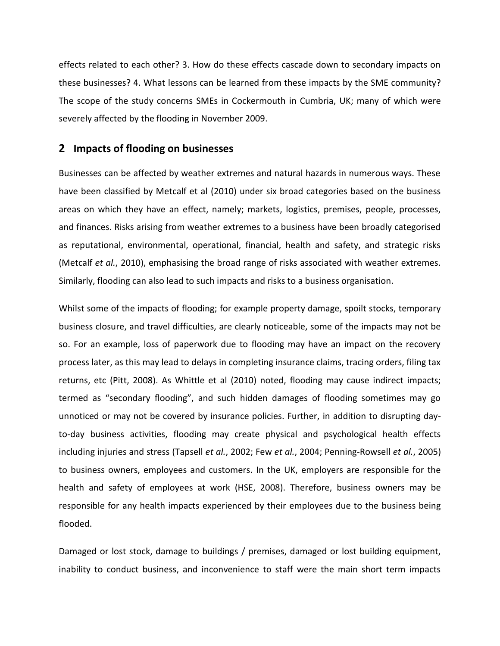effects related to each other? 3. How do these effects cascade down to secondary impacts on these businesses? 4. What lessons can be learned from these impacts by the SME community? The scope of the study concerns SMEs in Cockermouth in Cumbria, UK; many of which were severely affected by the flooding in November 2009.

# **2 Impacts of flooding on businesses**

Businesses can be affected by weather extremes and natural hazards in numerous ways. These have been classified by Metcalf et al (2010) under six broad categories based on the business areas on which they have an effect, namely; markets, logistics, premises, people, processes, and finances. Risks arising from weather extremes to a business have been broadly categorised as reputational, environmental, operational, financial, health and safety, and strategic risks (Metcalf *et al.*, 2010), emphasising the broad range of risks associated with weather extremes. Similarly, flooding can also lead to such impacts and risks to a business organisation.

Whilst some of the impacts of flooding; for example property damage, spoilt stocks, temporary business closure, and travel difficulties, are clearly noticeable, some of the impacts may not be so. For an example, loss of paperwork due to flooding may have an impact on the recovery process later, as this may lead to delays in completing insurance claims, tracing orders, filing tax returns, etc (Pitt, 2008). As Whittle et al (2010) noted, flooding may cause indirect impacts; termed as "secondary flooding", and such hidden damages of flooding sometimes may go unnoticed or may not be covered by insurance policies. Further, in addition to disrupting dayto-day business activities, flooding may create physical and psychological health effects including injuries and stress (Tapsell *et al.*, 2002; Few *et al.*, 2004; Penning-Rowsell *et al.*, 2005) to business owners, employees and customers. In the UK, employers are responsible for the health and safety of employees at work (HSE, 2008). Therefore, business owners may be responsible for any health impacts experienced by their employees due to the business being flooded.

Damaged or lost stock, damage to buildings / premises, damaged or lost building equipment, inability to conduct business, and inconvenience to staff were the main short term impacts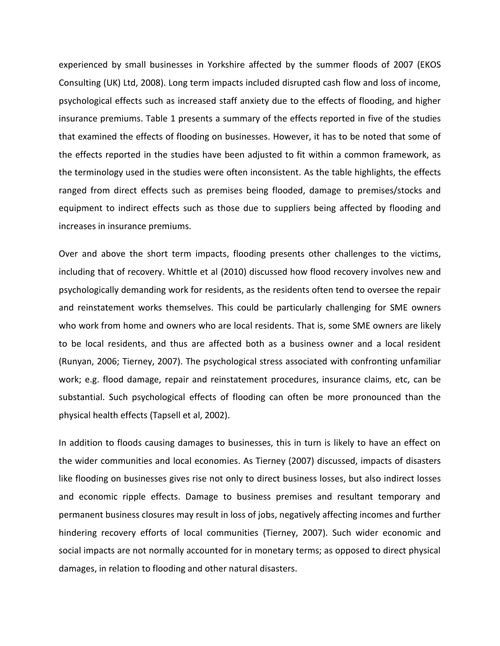experienced by small businesses in Yorkshire affected by the summer floods of 2007 (EKOS Consulting (UK) Ltd, 2008). Long term impacts included disrupted cash flow and loss of income, psychological effects such as increased staff anxiety due to the effects of flooding, and higher insurance premiums. Table 1 presents a summary of the effects reported in five of the studies that examined the effects of flooding on businesses. However, it has to be noted that some of the effects reported in the studies have been adjusted to fit within a common framework, as the terminology used in the studies were often inconsistent. As the table highlights, the effects ranged from direct effects such as premises being flooded, damage to premises/stocks and equipment to indirect effects such as those due to suppliers being affected by flooding and increases in insurance premiums.

Over and above the short term impacts, flooding presents other challenges to the victims, including that of recovery. Whittle et al (2010) discussed how flood recovery involves new and psychologically demanding work for residents, as the residents often tend to oversee the repair and reinstatement works themselves. This could be particularly challenging for SME owners who work from home and owners who are local residents. That is, some SME owners are likely to be local residents, and thus are affected both as a business owner and a local resident (Runyan, 2006; Tierney, 2007). The psychological stress associated with confronting unfamiliar work; e.g. flood damage, repair and reinstatement procedures, insurance claims, etc, can be substantial. Such psychological effects of flooding can often be more pronounced than the physical health effects (Tapsell et al, 2002).

In addition to floods causing damages to businesses, this in turn is likely to have an effect on the wider communities and local economies. As Tierney (2007) discussed, impacts of disasters like flooding on businesses gives rise not only to direct business losses, but also indirect losses and economic ripple effects. Damage to business premises and resultant temporary and permanent business closures may result in loss of jobs, negatively affecting incomes and further hindering recovery efforts of local communities (Tierney, 2007). Such wider economic and social impacts are not normally accounted for in monetary terms; as opposed to direct physical damages, in relation to flooding and other natural disasters.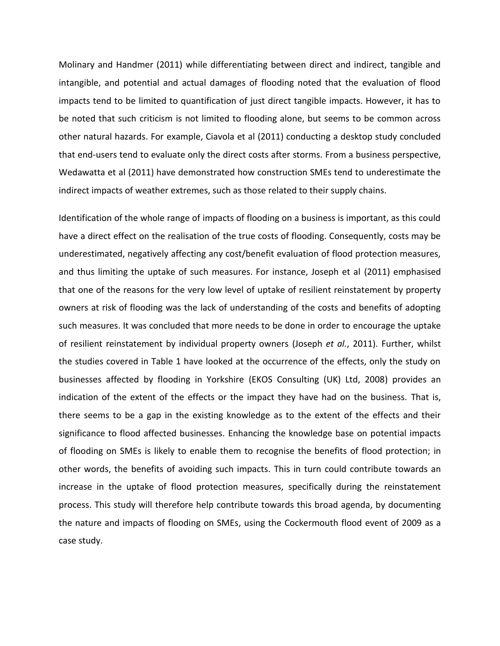Molinary and Handmer (2011) while differentiating between direct and indirect, tangible and intangible, and potential and actual damages of flooding noted that the evaluation of flood impacts tend to be limited to quantification of just direct tangible impacts. However, it has to be noted that such criticism is not limited to flooding alone, but seems to be common across other natural hazards. For example, Ciavola et al (2011) conducting a desktop study concluded that end-users tend to evaluate only the direct costs after storms. From a business perspective, Wedawatta et al (2011) have demonstrated how construction SMEs tend to underestimate the indirect impacts of weather extremes, such as those related to their supply chains.

Identification of the whole range of impacts of flooding on a business is important, as this could have a direct effect on the realisation of the true costs of flooding. Consequently, costs may be underestimated, negatively affecting any cost/benefit evaluation of flood protection measures, and thus limiting the uptake of such measures. For instance, Joseph et al (2011) emphasised that one of the reasons for the very low level of uptake of resilient reinstatement by property owners at risk of flooding was the lack of understanding of the costs and benefits of adopting such measures. It was concluded that more needs to be done in order to encourage the uptake of resilient reinstatement by individual property owners (Joseph *et al.*, 2011). Further, whilst the studies covered in Table 1 have looked at the occurrence of the effects, only the study on businesses affected by flooding in Yorkshire (EKOS Consulting (UK) Ltd, 2008) provides an indication of the extent of the effects or the impact they have had on the business. That is, there seems to be a gap in the existing knowledge as to the extent of the effects and their significance to flood affected businesses. Enhancing the knowledge base on potential impacts of flooding on SMEs is likely to enable them to recognise the benefits of flood protection; in other words, the benefits of avoiding such impacts. This in turn could contribute towards an increase in the uptake of flood protection measures, specifically during the reinstatement process. This study will therefore help contribute towards this broad agenda, by documenting the nature and impacts of flooding on SMEs, using the Cockermouth flood event of 2009 as a case study.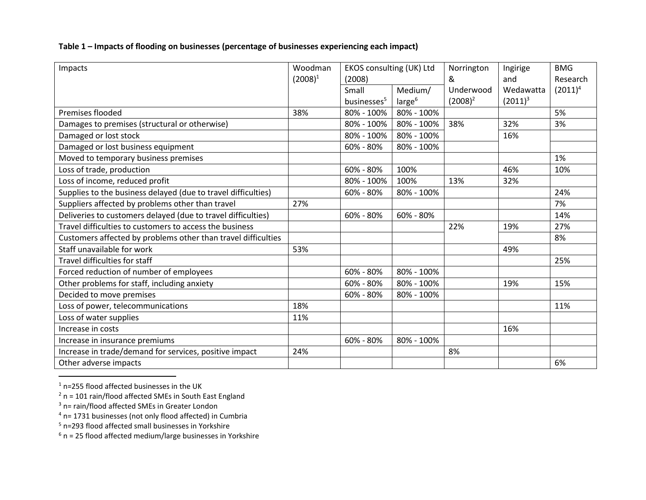# **Table 1 – Impacts of flooding on businesses (percentage of businesses experiencing each impact)**

| Impacts                                                       | Woodman    | EKOS consulting (UK) Ltd |                    | Norrington | Ingirige   | <b>BMG</b> |
|---------------------------------------------------------------|------------|--------------------------|--------------------|------------|------------|------------|
|                                                               | $(2008)^1$ | (2008)                   |                    | &          | and        | Research   |
|                                                               |            | Small                    | Medium/            | Underwood  | Wedawatta  | $(2011)^4$ |
|                                                               |            | businesses <sup>5</sup>  | large <sup>6</sup> | $(2008)^2$ | $(2011)^3$ |            |
| Premises flooded                                              | 38%        | 80% - 100%               | 80% - 100%         |            |            | 5%         |
| Damages to premises (structural or otherwise)                 |            | 80% - 100%               | 80% - 100%         | 38%        | 32%        | 3%         |
| Damaged or lost stock                                         |            | 80% - 100%               | 80% - 100%         |            | 16%        |            |
| Damaged or lost business equipment                            |            | 60% - 80%                | 80% - 100%         |            |            |            |
| Moved to temporary business premises                          |            |                          |                    |            |            | 1%         |
| Loss of trade, production                                     |            | $60\% - 80\%$            | 100%               |            | 46%        | 10%        |
| Loss of income, reduced profit                                |            | 80% - 100%               | 100%               | 13%        | 32%        |            |
| Supplies to the business delayed (due to travel difficulties) |            | 60% - 80%                | 80% - 100%         |            |            | 24%        |
| Suppliers affected by problems other than travel              | 27%        |                          |                    |            |            | 7%         |
| Deliveries to customers delayed (due to travel difficulties)  |            | 60% - 80%                | 60% - 80%          |            |            | 14%        |
| Travel difficulties to customers to access the business       |            |                          |                    | 22%        | 19%        | 27%        |
| Customers affected by problems other than travel difficulties |            |                          |                    |            |            | 8%         |
| Staff unavailable for work                                    | 53%        |                          |                    |            | 49%        |            |
| Travel difficulties for staff                                 |            |                          |                    |            |            | 25%        |
| Forced reduction of number of employees                       |            | 60% - 80%                | 80% - 100%         |            |            |            |
| Other problems for staff, including anxiety                   |            | 60% - 80%                | 80% - 100%         |            | 19%        | 15%        |
| Decided to move premises                                      |            | 60% - 80%                | 80% - 100%         |            |            |            |
| Loss of power, telecommunications                             | 18%        |                          |                    |            |            | 11%        |
| Loss of water supplies                                        | 11%        |                          |                    |            |            |            |
| Increase in costs                                             |            |                          |                    |            | 16%        |            |
| Increase in insurance premiums                                |            | 60% - 80%                | 80% - 100%         |            |            |            |
| Increase in trade/demand for services, positive impact        | 24%        |                          |                    | 8%         |            |            |
| Other adverse impacts                                         |            |                          |                    |            |            | 6%         |

<sup>1</sup> n=255 flood affected businesses in the UK

 $\overline{a}$ 

 $2$  n = 101 rain/flood affected SMEs in South East England

<sup>&</sup>lt;sup>3</sup> n= rain/flood affected SMEs in Greater London

 $4$  n= 1731 businesses (not only flood affected) in Cumbria

<sup>5</sup> n=293 flood affected small businesses in Yorkshire

 $6$  n = 25 flood affected medium/large businesses in Yorkshire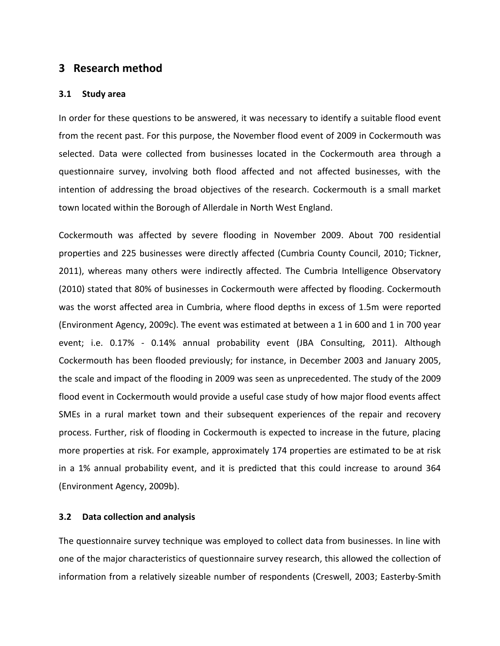# **3 Research method**

#### **3.1 Study area**

In order for these questions to be answered, it was necessary to identify a suitable flood event from the recent past. For this purpose, the November flood event of 2009 in Cockermouth was selected. Data were collected from businesses located in the Cockermouth area through a questionnaire survey, involving both flood affected and not affected businesses, with the intention of addressing the broad objectives of the research. Cockermouth is a small market town located within the Borough of Allerdale in North West England.

Cockermouth was affected by severe flooding in November 2009. About 700 residential properties and 225 businesses were directly affected (Cumbria County Council, 2010; Tickner, 2011), whereas many others were indirectly affected. The Cumbria Intelligence Observatory (2010) stated that 80% of businesses in Cockermouth were affected by flooding. Cockermouth was the worst affected area in Cumbria, where flood depths in excess of 1.5m were reported (Environment Agency, 2009c). The event was estimated at between a 1 in 600 and 1 in 700 year event; i.e. 0.17% - 0.14% annual probability event (JBA Consulting, 2011). Although Cockermouth has been flooded previously; for instance, in December 2003 and January 2005, the scale and impact of the flooding in 2009 was seen as unprecedented. The study of the 2009 flood event in Cockermouth would provide a useful case study of how major flood events affect SMEs in a rural market town and their subsequent experiences of the repair and recovery process. Further, risk of flooding in Cockermouth is expected to increase in the future, placing more properties at risk. For example, approximately 174 properties are estimated to be at risk in a 1% annual probability event, and it is predicted that this could increase to around 364 (Environment Agency, 2009b).

#### **3.2 Data collection and analysis**

The questionnaire survey technique was employed to collect data from businesses. In line with one of the major characteristics of questionnaire survey research, this allowed the collection of information from a relatively sizeable number of respondents (Creswell, 2003; Easterby-Smith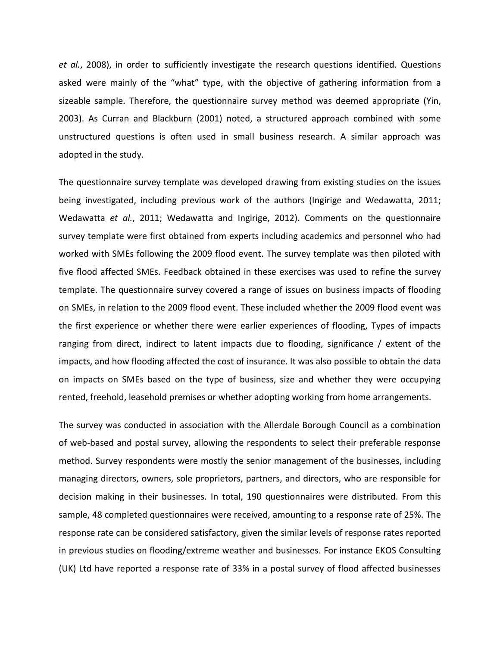*et al.*, 2008), in order to sufficiently investigate the research questions identified. Questions asked were mainly of the "what" type, with the objective of gathering information from a sizeable sample. Therefore, the questionnaire survey method was deemed appropriate (Yin, 2003). As Curran and Blackburn (2001) noted, a structured approach combined with some unstructured questions is often used in small business research. A similar approach was adopted in the study.

The questionnaire survey template was developed drawing from existing studies on the issues being investigated, including previous work of the authors (Ingirige and Wedawatta, 2011; Wedawatta *et al.*, 2011; Wedawatta and Ingirige, 2012). Comments on the questionnaire survey template were first obtained from experts including academics and personnel who had worked with SMEs following the 2009 flood event. The survey template was then piloted with five flood affected SMEs. Feedback obtained in these exercises was used to refine the survey template. The questionnaire survey covered a range of issues on business impacts of flooding on SMEs, in relation to the 2009 flood event. These included whether the 2009 flood event was the first experience or whether there were earlier experiences of flooding, Types of impacts ranging from direct, indirect to latent impacts due to flooding, significance / extent of the impacts, and how flooding affected the cost of insurance. It was also possible to obtain the data on impacts on SMEs based on the type of business, size and whether they were occupying rented, freehold, leasehold premises or whether adopting working from home arrangements.

The survey was conducted in association with the Allerdale Borough Council as a combination of web-based and postal survey, allowing the respondents to select their preferable response method. Survey respondents were mostly the senior management of the businesses, including managing directors, owners, sole proprietors, partners, and directors, who are responsible for decision making in their businesses. In total, 190 questionnaires were distributed. From this sample, 48 completed questionnaires were received, amounting to a response rate of 25%. The response rate can be considered satisfactory, given the similar levels of response rates reported in previous studies on flooding/extreme weather and businesses. For instance EKOS Consulting (UK) Ltd have reported a response rate of 33% in a postal survey of flood affected businesses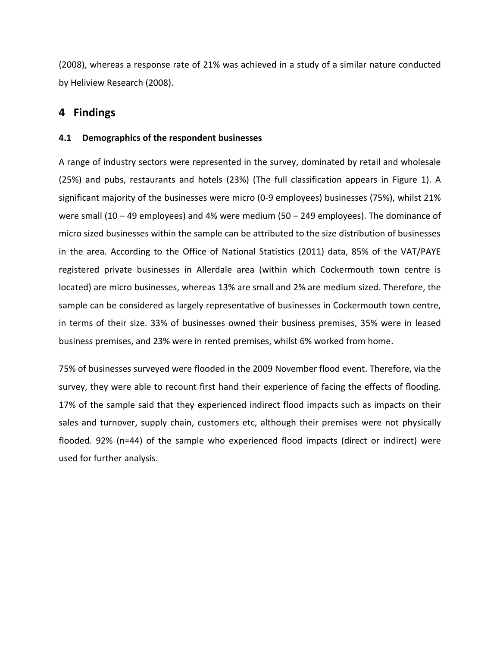(2008), whereas a response rate of 21% was achieved in a study of a similar nature conducted by Heliview Research (2008).

# **4 Findings**

### **4.1 Demographics of the respondent businesses**

A range of industry sectors were represented in the survey, dominated by retail and wholesale (25%) and pubs, restaurants and hotels (23%) (The full classification appears in Figure 1). A significant majority of the businesses were micro (0-9 employees) businesses (75%), whilst 21% were small  $(10 - 49$  employees) and 4% were medium  $(50 - 249$  employees). The dominance of micro sized businesses within the sample can be attributed to the size distribution of businesses in the area. According to the Office of National Statistics (2011) data, 85% of the VAT/PAYE registered private businesses in Allerdale area (within which Cockermouth town centre is located) are micro businesses, whereas 13% are small and 2% are medium sized. Therefore, the sample can be considered as largely representative of businesses in Cockermouth town centre, in terms of their size. 33% of businesses owned their business premises, 35% were in leased business premises, and 23% were in rented premises, whilst 6% worked from home.

75% of businesses surveyed were flooded in the 2009 November flood event. Therefore, via the survey, they were able to recount first hand their experience of facing the effects of flooding. 17% of the sample said that they experienced indirect flood impacts such as impacts on their sales and turnover, supply chain, customers etc, although their premises were not physically flooded. 92% (n=44) of the sample who experienced flood impacts (direct or indirect) were used for further analysis.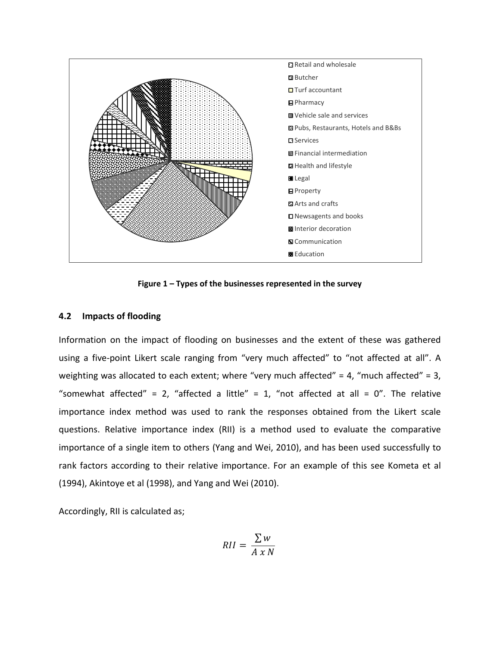

**Figure 1 – Types of the businesses represented in the survey** 

#### **4.2 Impacts of flooding**

Information on the impact of flooding on businesses and the extent of these was gathered using a five-point Likert scale ranging from "very much affected" to "not affected at all". A weighting was allocated to each extent; where "very much affected" = 4, "much affected" = 3, "somewhat affected" = 2, "affected a little" = 1, "not affected at all = 0". The relative importance index method was used to rank the responses obtained from the Likert scale questions. Relative importance index (RII) is a method used to evaluate the comparative importance of a single item to others (Yang and Wei, 2010), and has been used successfully to rank factors according to their relative importance. For an example of this see Kometa et al (1994), Akintoye et al (1998), and Yang and Wei (2010).

Accordingly, RII is calculated as;

$$
RII = \frac{\sum w}{A \times N}
$$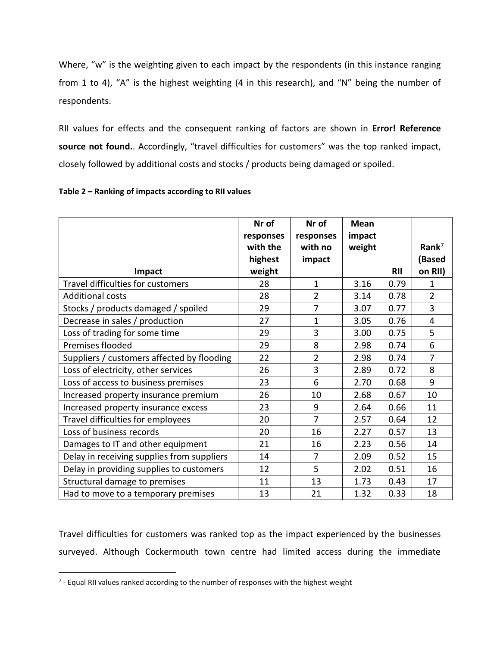Where, "w" is the weighting given to each impact by the respondents (in this instance ranging from 1 to 4), "A" is the highest weighting (4 in this research), and "N" being the number of respondents.

RII values for effects and the consequent ranking of factors are shown in **Error! Reference source not found.**. Accordingly, "travel difficulties for customers" was the top ranked impact, closely followed by additional costs and stocks / products being damaged or spoiled.

|                                            | Nr of     | Nr of          | <b>Mean</b> |            |                   |
|--------------------------------------------|-----------|----------------|-------------|------------|-------------------|
|                                            | responses | responses      | impact      |            |                   |
|                                            | with the  | with no        | weight      |            | Rank <sup>7</sup> |
|                                            | highest   | impact         |             |            | (Based            |
| Impact                                     | weight    |                |             | <b>RII</b> | on RII)           |
| Travel difficulties for customers          | 28        | $\mathbf{1}$   | 3.16        | 0.79       | $\mathbf{1}$      |
| <b>Additional costs</b>                    | 28        | $\overline{2}$ | 3.14        | 0.78       | $\overline{2}$    |
| Stocks / products damaged / spoiled        | 29        | $\overline{7}$ | 3.07        | 0.77       | $\overline{3}$    |
| Decrease in sales / production             | 27        | $\mathbf{1}$   | 3.05        | 0.76       | $\overline{4}$    |
| Loss of trading for some time              | 29        | 3              | 3.00        | 0.75       | 5                 |
| Premises flooded                           | 29        | 8              | 2.98        | 0.74       | 6                 |
| Suppliers / customers affected by flooding | 22        | $\overline{2}$ | 2.98        | 0.74       | $\overline{7}$    |
| Loss of electricity, other services        | 26        | 3              | 2.89        | 0.72       | 8                 |
| Loss of access to business premises        | 23        | 6              | 2.70        | 0.68       | 9                 |
| Increased property insurance premium       | 26        | 10             | 2.68        | 0.67       | 10                |
| Increased property insurance excess        | 23        | 9              | 2.64        | 0.66       | 11                |
| Travel difficulties for employees          | 20        | $\overline{7}$ | 2.57        | 0.64       | 12                |
| Loss of business records                   | 20        | 16             | 2.27        | 0.57       | 13                |
| Damages to IT and other equipment          | 21        | 16             | 2.23        | 0.56       | 14                |
| Delay in receiving supplies from suppliers | 14        | 7              | 2.09        | 0.52       | 15                |
| Delay in providing supplies to customers   | 12        | 5              | 2.02        | 0.51       | 16                |
| Structural damage to premises              | 11        | 13             | 1.73        | 0.43       | 17                |
| Had to move to a temporary premises        | 13        | 21             | 1.32        | 0.33       | 18                |

#### **Table 2 – Ranking of impacts according to RII values**

Travel difficulties for customers was ranked top as the impact experienced by the businesses surveyed. Although Cockermouth town centre had limited access during the immediate

 $\overline{a}$ 

 $7$  - Equal RII values ranked according to the number of responses with the highest weight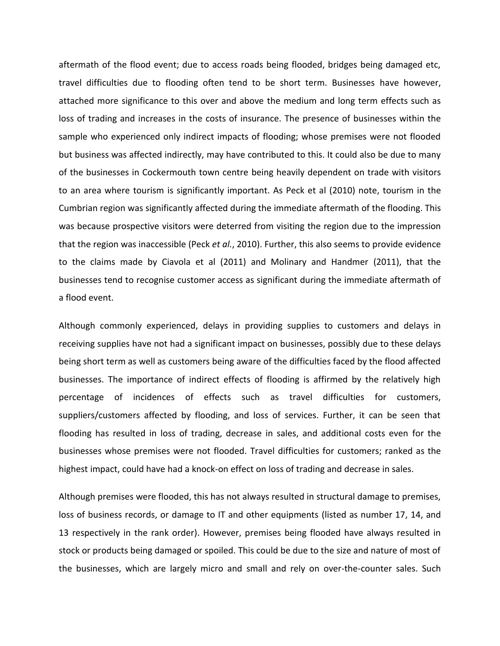aftermath of the flood event; due to access roads being flooded, bridges being damaged etc, travel difficulties due to flooding often tend to be short term. Businesses have however, attached more significance to this over and above the medium and long term effects such as loss of trading and increases in the costs of insurance. The presence of businesses within the sample who experienced only indirect impacts of flooding; whose premises were not flooded but business was affected indirectly, may have contributed to this. It could also be due to many of the businesses in Cockermouth town centre being heavily dependent on trade with visitors to an area where tourism is significantly important. As Peck et al (2010) note, tourism in the Cumbrian region was significantly affected during the immediate aftermath of the flooding. This was because prospective visitors were deterred from visiting the region due to the impression that the region was inaccessible (Peck *et al.*, 2010). Further, this also seems to provide evidence to the claims made by Ciavola et al (2011) and Molinary and Handmer (2011), that the businesses tend to recognise customer access as significant during the immediate aftermath of a flood event.

Although commonly experienced, delays in providing supplies to customers and delays in receiving supplies have not had a significant impact on businesses, possibly due to these delays being short term as well as customers being aware of the difficulties faced by the flood affected businesses. The importance of indirect effects of flooding is affirmed by the relatively high percentage of incidences of effects such as travel difficulties for customers, suppliers/customers affected by flooding, and loss of services. Further, it can be seen that flooding has resulted in loss of trading, decrease in sales, and additional costs even for the businesses whose premises were not flooded. Travel difficulties for customers; ranked as the highest impact, could have had a knock-on effect on loss of trading and decrease in sales.

Although premises were flooded, this has not always resulted in structural damage to premises, loss of business records, or damage to IT and other equipments (listed as number 17, 14, and 13 respectively in the rank order). However, premises being flooded have always resulted in stock or products being damaged or spoiled. This could be due to the size and nature of most of the businesses, which are largely micro and small and rely on over-the-counter sales. Such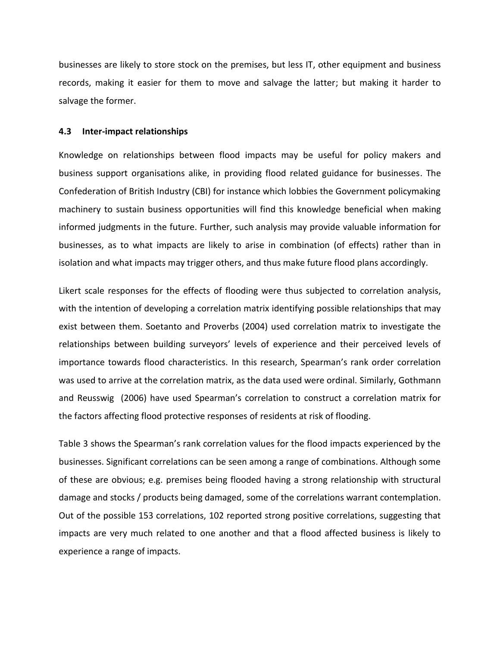businesses are likely to store stock on the premises, but less IT, other equipment and business records, making it easier for them to move and salvage the latter; but making it harder to salvage the former.

#### **4.3 Inter-impact relationships**

Knowledge on relationships between flood impacts may be useful for policy makers and business support organisations alike, in providing flood related guidance for businesses. The Confederation of British Industry (CBI) for instance which lobbies the Government policymaking machinery to sustain business opportunities will find this knowledge beneficial when making informed judgments in the future. Further, such analysis may provide valuable information for businesses, as to what impacts are likely to arise in combination (of effects) rather than in isolation and what impacts may trigger others, and thus make future flood plans accordingly.

Likert scale responses for the effects of flooding were thus subjected to correlation analysis, with the intention of developing a correlation matrix identifying possible relationships that may exist between them. Soetanto and Proverbs (2004) used correlation matrix to investigate the relationships between building surveyors' levels of experience and their perceived levels of importance towards flood characteristics. In this research, Spearman's rank order correlation was used to arrive at the correlation matrix, as the data used were ordinal. Similarly, Gothmann and Reusswig (2006) have used Spearman's correlation to construct a correlation matrix for the factors affecting flood protective responses of residents at risk of flooding.

Table 3 shows the Spearman's rank correlation values for the flood impacts experienced by the businesses. Significant correlations can be seen among a range of combinations. Although some of these are obvious; e.g. premises being flooded having a strong relationship with structural damage and stocks / products being damaged, some of the correlations warrant contemplation. Out of the possible 153 correlations, 102 reported strong positive correlations, suggesting that impacts are very much related to one another and that a flood affected business is likely to experience a range of impacts.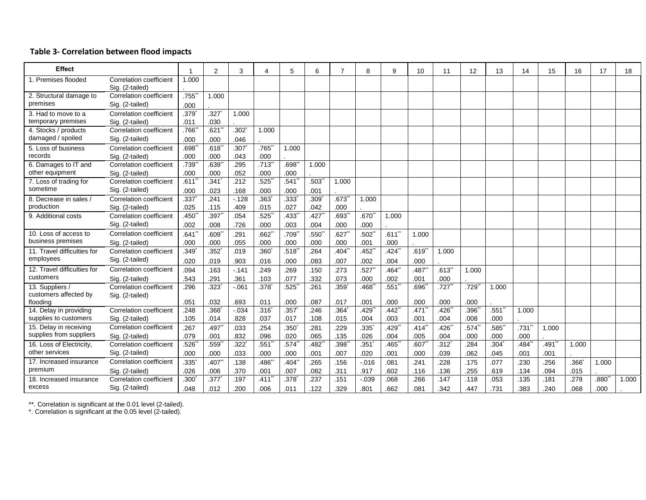#### **Table 3 - Correlation between flood impacts**

| <b>Effect</b>               |                                            |       | $\overline{2}$      | 3        |                     | 5                   | 6                   |                     | 8                   | 9                   | 10                  | 11      | 12    | 13    | 14        | 15    | 16    | 17    | 18    |
|-----------------------------|--------------------------------------------|-------|---------------------|----------|---------------------|---------------------|---------------------|---------------------|---------------------|---------------------|---------------------|---------|-------|-------|-----------|-------|-------|-------|-------|
| 1. Premises flooded         | Correlation coefficient<br>Sig. (2-tailed) | 1.000 |                     |          |                     |                     |                     |                     |                     |                     |                     |         |       |       |           |       |       |       |       |
| 2. Structural damage to     | Correlation coefficient                    | .755  | 1.000               |          |                     |                     |                     |                     |                     |                     |                     |         |       |       |           |       |       |       |       |
| premises                    | Sig. (2-tailed)                            | .000  |                     |          |                     |                     |                     |                     |                     |                     |                     |         |       |       |           |       |       |       |       |
| 3. Had to move to a         | <b>Correlation coefficient</b>             | .379  | .327                | 1.000    |                     |                     |                     |                     |                     |                     |                     |         |       |       |           |       |       |       |       |
| temporary premises          | Sig. (2-tailed)                            | .011  | .030                |          |                     |                     |                     |                     |                     |                     |                     |         |       |       |           |       |       |       |       |
| 4. Stocks / products        | <b>Correlation coefficient</b>             | .766  | .621                | .302     | 1.000               |                     |                     |                     |                     |                     |                     |         |       |       |           |       |       |       |       |
| damaged / spoiled           | Sig. (2-tailed)                            | .000  | .000                | .046     |                     |                     |                     |                     |                     |                     |                     |         |       |       |           |       |       |       |       |
| 5. Loss of business         | Correlation coefficient                    | .698  | .618                | .307     | $.765$ <sup>*</sup> | 1.000               |                     |                     |                     |                     |                     |         |       |       |           |       |       |       |       |
| records                     | Sig. (2-tailed)                            | .000  | .000                | .043     | .000                |                     |                     |                     |                     |                     |                     |         |       |       |           |       |       |       |       |
| 6. Damages to IT and        | <b>Correlation coefficient</b>             | .739  | .639                | .295     | $.713$ <sup>*</sup> | .698                | 1.000               |                     |                     |                     |                     |         |       |       |           |       |       |       |       |
| other equipment             | Sig. (2-tailed)                            | .000  | .000                | .052     | .000                | .000                |                     |                     |                     |                     |                     |         |       |       |           |       |       |       |       |
| 7. Loss of trading for      | Correlation coefficient                    | .611  | .341                | .212     | .525                | .541                | .503'               | 1.000               |                     |                     |                     |         |       |       |           |       |       |       |       |
| sometime                    | Sig. (2-tailed)                            | .000  | .023                | .168     | .000                | .000                | .001                |                     |                     |                     |                     |         |       |       |           |       |       |       |       |
| 8. Decrease in sales /      | Correlation coefficient                    | .337  | .241                | $-128$   | .363                | .333                | .309                | $.673$ <sup>*</sup> | 1.000               |                     |                     |         |       |       |           |       |       |       |       |
| production                  | Sig. (2-tailed)                            | .025  | .115                | .409     | .015                | .027                | .042                | .000                |                     |                     |                     |         |       |       |           |       |       |       |       |
| 9. Additional costs         | Correlation coefficient                    | .450  | .397                | .054     | .525                | .433                | .427                | .693                | $.670$ <sup>*</sup> | 1.000               |                     |         |       |       |           |       |       |       |       |
|                             | Sig. (2-tailed)                            | .002  | .008                | .726     | .000                | .003                | .004                | .000                | .000                |                     |                     |         |       |       |           |       |       |       |       |
| 10. Loss of access to       | Correlation coefficient                    | .641  | .609"               | .291     | .662"               | .709*               | .550"               | $.627$ *            | .502"               | $.611$ **           | 1.000               |         |       |       |           |       |       |       |       |
| business premises           | Sig. (2-tailed)                            | .000  | .000                | .055     | .000                | .000                | .000                | .000                | .001                | .000                |                     |         |       |       |           |       |       |       |       |
| 11. Travel difficulties for | <b>Correlation coefficient</b>             | .349  | .352                | .019     | .360                | .518                | .264                | .404                | $.452$ <sup>*</sup> | $.424$ <sup>*</sup> | .619'               | 1.000   |       |       |           |       |       |       |       |
| employees                   | Sig. (2-tailed)                            | .020  | .019                | .903     | .016                | .000                | .083                | .007                | .002                | .004                | .000                |         |       |       |           |       |       |       |       |
| 12. Travel difficulties for | Correlation coefficient                    | .094  | .163                | $-141$   | .249                | .269                | .150                | .273                | .527                | $.464$ **           | $.487$ <sup>*</sup> | $.613*$ | 1.000 |       |           |       |       |       |       |
| customers                   | Sig. (2-tailed)                            | .543  | .291                | .361     | .103                | .077                | .332                | .073                | .000                | .002                | .001                | .000    |       |       |           |       |       |       |       |
| 13. Suppliers /             | Correlation coefficient                    | .296  | .323                | $-0.061$ | .378                | .525                | .261                | .359                | $.468$ <sup>*</sup> | $.551$ <sup>*</sup> | .696                | .727    | .729  | 1.000 |           |       |       |       |       |
| customers affected by       | Sig. (2-tailed)                            |       |                     |          |                     |                     |                     |                     |                     |                     |                     |         |       |       |           |       |       |       |       |
| flooding                    |                                            | .051  | .032                | .693     | .011                | .000                | .087                | .017                | .001                | .000                | .000                | .000    | .000  |       |           |       |       |       |       |
| 14. Delay in providing      | Correlation coefficient                    | .248  | .368                | $-034$   | .316                | .357                | .246                | .364                | $.429$ <sup>*</sup> | $.442$ <sup>*</sup> | .471                | .426    | .396  | .551  | 1.000     |       |       |       |       |
| supplies to customers       | Sig. (2-tailed)                            | .105  | .014                | .828     | .037                | .017                | .108                | .015                | .004                | .003                | .001                | .004    | .008  | .000  |           |       |       |       |       |
| 15. Delay in receiving      | Correlation coefficient                    | .267  | $.497$ <sup>*</sup> | .033     | .254                | .350 <sup>°</sup>   | .281                | .229                | .335'               | .429"               | $.414$ <sup>*</sup> | .426    | .574  | .585  | $.731$ ** | 1.000 |       |       |       |
| supplies from suppliers     | Sig. (2-tailed)                            | .079  | .001                | .832     | .096                | .020                | .065                | .135                | .026                | .004                | .005                | .004    | .000  | .000  | .000      |       |       |       |       |
| 16. Loss of Electricity,    | Correlation coefficient                    | .526  | .559                | .322     | .551                | .574                | $.482$ <sup>*</sup> | .398                | .351                | $.465$ <sup>*</sup> | .607                | .312    | .284  | .304  | .484      | .491  | 1.000 |       |       |
| other services              | Sig. (2-tailed)                            | .000  | .000                | .033     | .000                | .000                | .001                | .007                | .020                | .001                | .000                | .039    | .062  | .045  | .001      | .001  |       |       |       |
| 17. Increased insurance     | Correlation coefficient                    | .335  | .407                | .138     | $.486*$             | $.404$ <sup>*</sup> | .265                | .156                | $-0.016$            | .081                | .241                | .228    | .175  | .077  | .230      | .256  | .366' | 1.000 |       |
| premium                     | Sig. (2-tailed)                            | .026  | .006                | .370     | .001                | .007                | .082                | .311                | .917                | .602                | .116                | .136    | .255  | .619  | .134      | .094  | .015  |       |       |
| 18. Increased insurance     | Correlation coefficient                    | .300  | .377                | .197     | .411                | .378                | .237                | .151                | $-0.39$             | .068                | .266                | .147    | .118  | .053  | .135      | .181  | .278  | .880  | 1.000 |
| excess                      | Sig. (2-tailed)                            | .048  | .012                | .200     | .006                | .011                | .122                | .329                | .801                | .662                | .081                | .342    | .447  | .731  | .383      | .240  | .068  | .000  |       |

\*\*. Correlation is significant at the 0.01 level (2 -tailed).

\*. Correlation is significant at the 0.05 level (2 -tailed).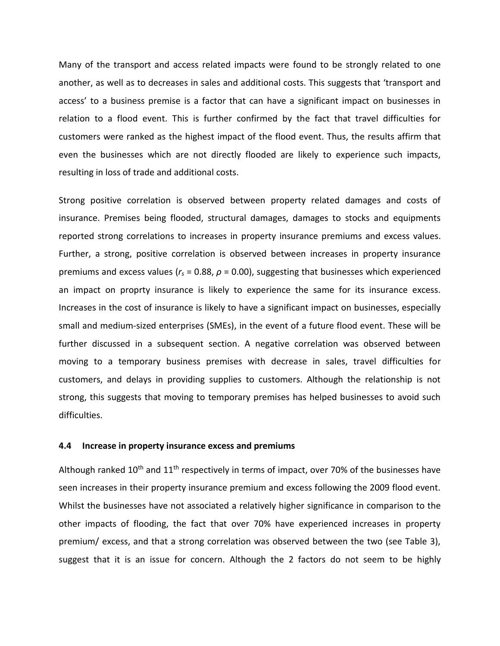Many of the transport and access related impacts were found to be strongly related to one another, as well as to decreases in sales and additional costs. This suggests that 'transport and access' to a business premise is a factor that can have a significant impact on businesses in relation to a flood event. This is further confirmed by the fact that travel difficulties for customers were ranked as the highest impact of the flood event. Thus, the results affirm that even the businesses which are not directly flooded are likely to experience such impacts, resulting in loss of trade and additional costs.

Strong positive correlation is observed between property related damages and costs of insurance. Premises being flooded, structural damages, damages to stocks and equipments reported strong correlations to increases in property insurance premiums and excess values. Further, a strong, positive correlation is observed between increases in property insurance premiums and excess values (*r<sup>s</sup>* = 0.88, *ρ* = 0.00), suggesting that businesses which experienced an impact on proprty insurance is likely to experience the same for its insurance excess. Increases in the cost of insurance is likely to have a significant impact on businesses, especially small and medium-sized enterprises (SMEs), in the event of a future flood event. These will be further discussed in a subsequent section. A negative correlation was observed between moving to a temporary business premises with decrease in sales, travel difficulties for customers, and delays in providing supplies to customers. Although the relationship is not strong, this suggests that moving to temporary premises has helped businesses to avoid such difficulties.

#### **4.4 Increase in property insurance excess and premiums**

Although ranked  $10<sup>th</sup>$  and  $11<sup>th</sup>$  respectively in terms of impact, over 70% of the businesses have seen increases in their property insurance premium and excess following the 2009 flood event. Whilst the businesses have not associated a relatively higher significance in comparison to the other impacts of flooding, the fact that over 70% have experienced increases in property premium/ excess, and that a strong correlation was observed between the two (see Table 3), suggest that it is an issue for concern. Although the 2 factors do not seem to be highly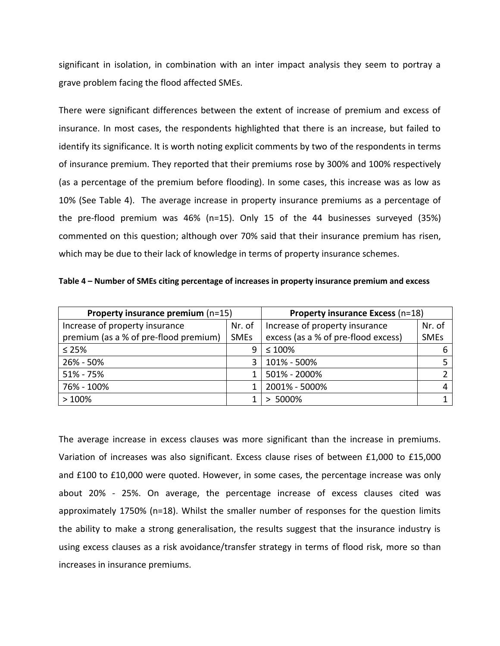significant in isolation, in combination with an inter impact analysis they seem to portray a grave problem facing the flood affected SMEs.

There were significant differences between the extent of increase of premium and excess of insurance. In most cases, the respondents highlighted that there is an increase, but failed to identify its significance. It is worth noting explicit comments by two of the respondents in terms of insurance premium. They reported that their premiums rose by 300% and 100% respectively (as a percentage of the premium before flooding). In some cases, this increase was as low as 10% (See Table 4). The average increase in property insurance premiums as a percentage of the pre-flood premium was 46% (n=15). Only 15 of the 44 businesses surveyed (35%) commented on this question; although over 70% said that their insurance premium has risen, which may be due to their lack of knowledge in terms of property insurance schemes.

**Table 4 – Number of SMEs citing percentage of increases in property insurance premium and excess** 

| Property insurance premium $(n=15)$   | <b>Property insurance Excess (n=18)</b> |                                     |             |  |  |
|---------------------------------------|-----------------------------------------|-------------------------------------|-------------|--|--|
| Increase of property insurance        | Nr. of                                  | Increase of property insurance      | Nr. of      |  |  |
| premium (as a % of pre-flood premium) | <b>SMEs</b>                             | excess (as a % of pre-flood excess) | <b>SMEs</b> |  |  |
| $\leq 25\%$                           | 9                                       | $\leq 100\%$                        |             |  |  |
| 26% - 50%                             | ર                                       | 101% - 500%                         |             |  |  |
| 51% - 75%                             |                                         | 501% - 2000%                        |             |  |  |
| 76% - 100%                            |                                         | 2001% - 5000%                       | 4           |  |  |
| >100%                                 |                                         | 5000%                               |             |  |  |

The average increase in excess clauses was more significant than the increase in premiums. Variation of increases was also significant. Excess clause rises of between £1,000 to £15,000 and £100 to £10,000 were quoted. However, in some cases, the percentage increase was only about 20% - 25%. On average, the percentage increase of excess clauses cited was approximately 1750% (n=18). Whilst the smaller number of responses for the question limits the ability to make a strong generalisation, the results suggest that the insurance industry is using excess clauses as a risk avoidance/transfer strategy in terms of flood risk, more so than increases in insurance premiums.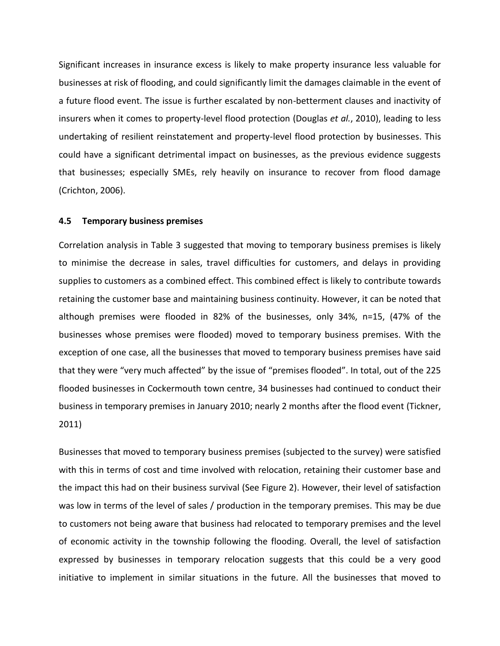Significant increases in insurance excess is likely to make property insurance less valuable for businesses at risk of flooding, and could significantly limit the damages claimable in the event of a future flood event. The issue is further escalated by non-betterment clauses and inactivity of insurers when it comes to property-level flood protection (Douglas *et al.*, 2010), leading to less undertaking of resilient reinstatement and property-level flood protection by businesses. This could have a significant detrimental impact on businesses, as the previous evidence suggests that businesses; especially SMEs, rely heavily on insurance to recover from flood damage (Crichton, 2006).

#### **4.5 Temporary business premises**

Correlation analysis in Table 3 suggested that moving to temporary business premises is likely to minimise the decrease in sales, travel difficulties for customers, and delays in providing supplies to customers as a combined effect. This combined effect is likely to contribute towards retaining the customer base and maintaining business continuity. However, it can be noted that although premises were flooded in 82% of the businesses, only 34%, n=15, (47% of the businesses whose premises were flooded) moved to temporary business premises. With the exception of one case, all the businesses that moved to temporary business premises have said that they were "very much affected" by the issue of "premises flooded". In total, out of the 225 flooded businesses in Cockermouth town centre, 34 businesses had continued to conduct their business in temporary premises in January 2010; nearly 2 months after the flood event (Tickner, 2011)

Businesses that moved to temporary business premises (subjected to the survey) were satisfied with this in terms of cost and time involved with relocation, retaining their customer base and the impact this had on their business survival (See Figure 2). However, their level of satisfaction was low in terms of the level of sales / production in the temporary premises. This may be due to customers not being aware that business had relocated to temporary premises and the level of economic activity in the township following the flooding. Overall, the level of satisfaction expressed by businesses in temporary relocation suggests that this could be a very good initiative to implement in similar situations in the future. All the businesses that moved to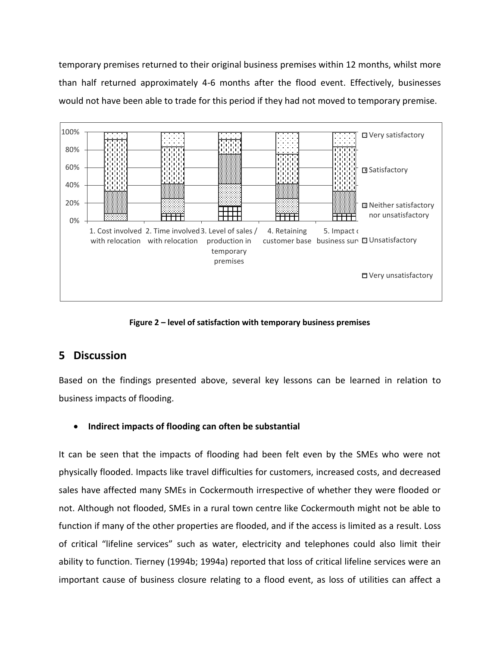temporary premises returned to their original business premises within 12 months, whilst more than half returned approximately 4-6 months after the flood event. Effectively, businesses would not have been able to trade for this period if they had not moved to temporary premise.



**Figure 2 – level of satisfaction with temporary business premises** 

# **5 Discussion**

Based on the findings presented above, several key lessons can be learned in relation to business impacts of flooding.

# **Indirect impacts of flooding can often be substantial**

It can be seen that the impacts of flooding had been felt even by the SMEs who were not physically flooded. Impacts like travel difficulties for customers, increased costs, and decreased sales have affected many SMEs in Cockermouth irrespective of whether they were flooded or not. Although not flooded, SMEs in a rural town centre like Cockermouth might not be able to function if many of the other properties are flooded, and if the access is limited as a result. Loss of critical "lifeline services" such as water, electricity and telephones could also limit their ability to function. Tierney (1994b; 1994a) reported that loss of critical lifeline services were an important cause of business closure relating to a flood event, as loss of utilities can affect a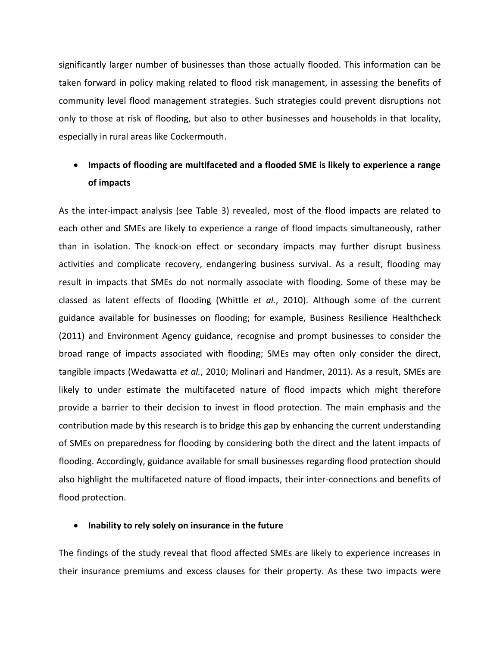significantly larger number of businesses than those actually flooded. This information can be taken forward in policy making related to flood risk management, in assessing the benefits of community level flood management strategies. Such strategies could prevent disruptions not only to those at risk of flooding, but also to other businesses and households in that locality, especially in rural areas like Cockermouth.

# **Impacts of flooding are multifaceted and a flooded SME is likely to experience a range of impacts**

As the inter-impact analysis (see Table 3) revealed, most of the flood impacts are related to each other and SMEs are likely to experience a range of flood impacts simultaneously, rather than in isolation. The knock-on effect or secondary impacts may further disrupt business activities and complicate recovery, endangering business survival. As a result, flooding may result in impacts that SMEs do not normally associate with flooding. Some of these may be classed as latent effects of flooding (Whittle *et al.*, 2010). Although some of the current guidance available for businesses on flooding; for example, Business Resilience Healthcheck (2011) and Environment Agency guidance, recognise and prompt businesses to consider the broad range of impacts associated with flooding; SMEs may often only consider the direct, tangible impacts (Wedawatta *et al.*, 2010; Molinari and Handmer, 2011). As a result, SMEs are likely to under estimate the multifaceted nature of flood impacts which might therefore provide a barrier to their decision to invest in flood protection. The main emphasis and the contribution made by this research is to bridge this gap by enhancing the current understanding of SMEs on preparedness for flooding by considering both the direct and the latent impacts of flooding. Accordingly, guidance available for small businesses regarding flood protection should also highlight the multifaceted nature of flood impacts, their inter-connections and benefits of flood protection.

#### **Inability to rely solely on insurance in the future**

The findings of the study reveal that flood affected SMEs are likely to experience increases in their insurance premiums and excess clauses for their property. As these two impacts were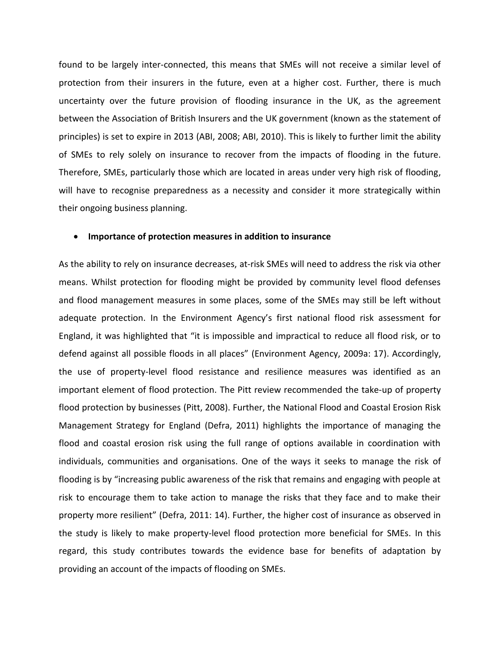found to be largely inter-connected, this means that SMEs will not receive a similar level of protection from their insurers in the future, even at a higher cost. Further, there is much uncertainty over the future provision of flooding insurance in the UK, as the agreement between the Association of British Insurers and the UK government (known as the statement of principles) is set to expire in 2013 (ABI, 2008; ABI, 2010). This is likely to further limit the ability of SMEs to rely solely on insurance to recover from the impacts of flooding in the future. Therefore, SMEs, particularly those which are located in areas under very high risk of flooding, will have to recognise preparedness as a necessity and consider it more strategically within their ongoing business planning.

#### **Importance of protection measures in addition to insurance**

As the ability to rely on insurance decreases, at-risk SMEs will need to address the risk via other means. Whilst protection for flooding might be provided by community level flood defenses and flood management measures in some places, some of the SMEs may still be left without adequate protection. In the Environment Agency's first national flood risk assessment for England, it was highlighted that "it is impossible and impractical to reduce all flood risk, or to defend against all possible floods in all places" (Environment Agency, 2009a: 17). Accordingly, the use of property-level flood resistance and resilience measures was identified as an important element of flood protection. The Pitt review recommended the take-up of property flood protection by businesses (Pitt, 2008). Further, the National Flood and Coastal Erosion Risk Management Strategy for England (Defra, 2011) highlights the importance of managing the flood and coastal erosion risk using the full range of options available in coordination with individuals, communities and organisations. One of the ways it seeks to manage the risk of flooding is by "increasing public awareness of the risk that remains and engaging with people at risk to encourage them to take action to manage the risks that they face and to make their property more resilient" (Defra, 2011: 14). Further, the higher cost of insurance as observed in the study is likely to make property-level flood protection more beneficial for SMEs. In this regard, this study contributes towards the evidence base for benefits of adaptation by providing an account of the impacts of flooding on SMEs.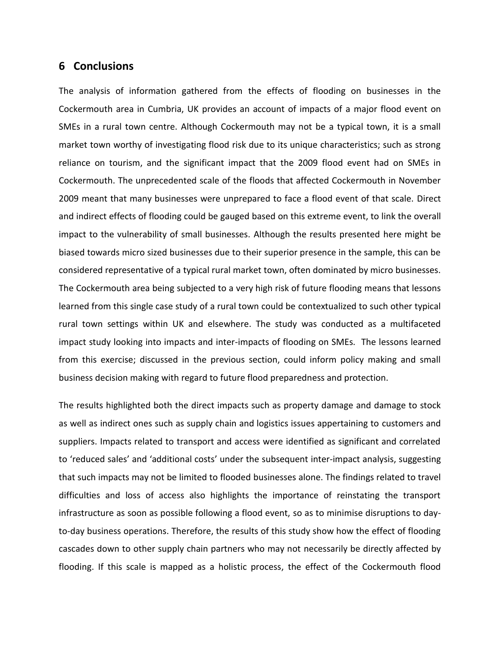# **6 Conclusions**

The analysis of information gathered from the effects of flooding on businesses in the Cockermouth area in Cumbria, UK provides an account of impacts of a major flood event on SMEs in a rural town centre. Although Cockermouth may not be a typical town, it is a small market town worthy of investigating flood risk due to its unique characteristics; such as strong reliance on tourism, and the significant impact that the 2009 flood event had on SMEs in Cockermouth. The unprecedented scale of the floods that affected Cockermouth in November 2009 meant that many businesses were unprepared to face a flood event of that scale. Direct and indirect effects of flooding could be gauged based on this extreme event, to link the overall impact to the vulnerability of small businesses. Although the results presented here might be biased towards micro sized businesses due to their superior presence in the sample, this can be considered representative of a typical rural market town, often dominated by micro businesses. The Cockermouth area being subjected to a very high risk of future flooding means that lessons learned from this single case study of a rural town could be contextualized to such other typical rural town settings within UK and elsewhere. The study was conducted as a multifaceted impact study looking into impacts and inter-impacts of flooding on SMEs. The lessons learned from this exercise; discussed in the previous section, could inform policy making and small business decision making with regard to future flood preparedness and protection.

The results highlighted both the direct impacts such as property damage and damage to stock as well as indirect ones such as supply chain and logistics issues appertaining to customers and suppliers. Impacts related to transport and access were identified as significant and correlated to 'reduced sales' and 'additional costs' under the subsequent inter-impact analysis, suggesting that such impacts may not be limited to flooded businesses alone. The findings related to travel difficulties and loss of access also highlights the importance of reinstating the transport infrastructure as soon as possible following a flood event, so as to minimise disruptions to dayto-day business operations. Therefore, the results of this study show how the effect of flooding cascades down to other supply chain partners who may not necessarily be directly affected by flooding. If this scale is mapped as a holistic process, the effect of the Cockermouth flood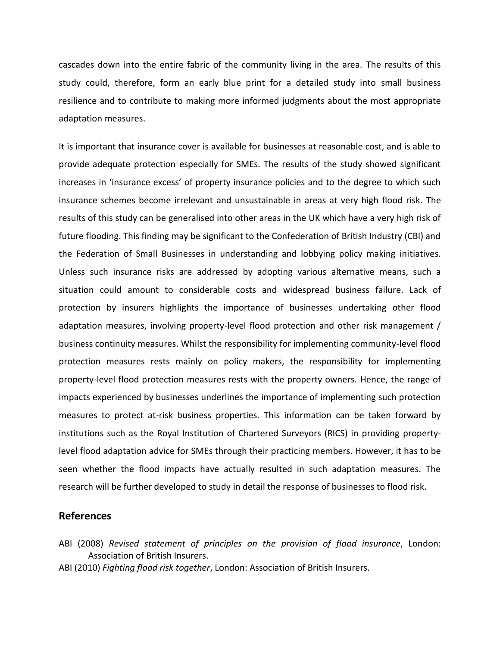cascades down into the entire fabric of the community living in the area. The results of this study could, therefore, form an early blue print for a detailed study into small business resilience and to contribute to making more informed judgments about the most appropriate adaptation measures.

It is important that insurance cover is available for businesses at reasonable cost, and is able to provide adequate protection especially for SMEs. The results of the study showed significant increases in 'insurance excess' of property insurance policies and to the degree to which such insurance schemes become irrelevant and unsustainable in areas at very high flood risk. The results of this study can be generalised into other areas in the UK which have a very high risk of future flooding. This finding may be significant to the Confederation of British Industry (CBI) and the Federation of Small Businesses in understanding and lobbying policy making initiatives. Unless such insurance risks are addressed by adopting various alternative means, such a situation could amount to considerable costs and widespread business failure. Lack of protection by insurers highlights the importance of businesses undertaking other flood adaptation measures, involving property-level flood protection and other risk management / business continuity measures. Whilst the responsibility for implementing community-level flood protection measures rests mainly on policy makers, the responsibility for implementing property-level flood protection measures rests with the property owners. Hence, the range of impacts experienced by businesses underlines the importance of implementing such protection measures to protect at-risk business properties. This information can be taken forward by institutions such as the Royal Institution of Chartered Surveyors (RICS) in providing propertylevel flood adaptation advice for SMEs through their practicing members. However, it has to be seen whether the flood impacts have actually resulted in such adaptation measures. The research will be further developed to study in detail the response of businesses to flood risk.

### **References**

- ABI (2008) *Revised statement of principles on the provision of flood insurance*, London: Association of British Insurers.
- ABI (2010) *Fighting flood risk together*, London: Association of British Insurers.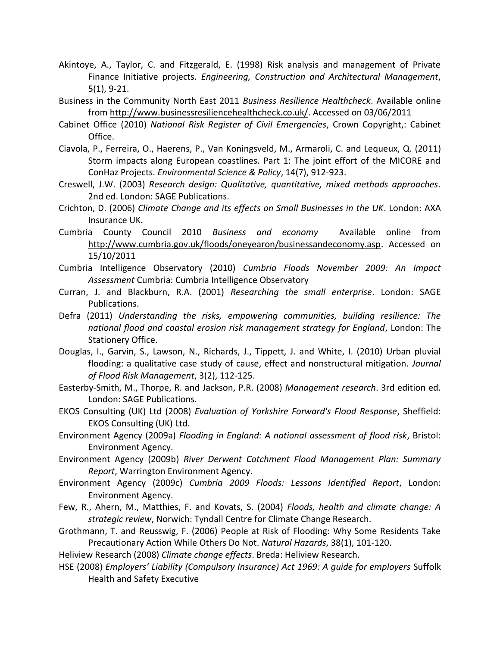- Akintoye, A., Taylor, C. and Fitzgerald, E. (1998) Risk analysis and management of Private Finance Initiative projects. *Engineering, Construction and Architectural Management*, 5(1), 9-21.
- Business in the Community North East 2011 *Business Resilience Healthcheck*. Available online from http://www.businessresiliencehealthcheck.co.uk/. Accessed on 03/06/2011
- Cabinet Office (2010) *National Risk Register of Civil Emergencies*, Crown Copyright,: Cabinet Office.
- Ciavola, P., Ferreira, O., Haerens, P., Van Koningsveld, M., Armaroli, C. and Lequeux, Q. (2011) Storm impacts along European coastlines. Part 1: The joint effort of the MICORE and ConHaz Projects. *Environmental Science & Policy*, 14(7), 912-923.
- Creswell, J.W. (2003) *Research design: Qualitative, quantitative, mixed methods approaches*. 2nd ed. London: SAGE Publications.
- Crichton, D. (2006) *Climate Change and its effects on Small Businesses in the UK*. London: AXA Insurance UK.
- Cumbria County Council 2010 *Business and economy* Available online from http://www.cumbria.gov.uk/floods/oneyearon/businessandeconomy.asp. Accessed on 15/10/2011
- Cumbria Intelligence Observatory (2010) *Cumbria Floods November 2009: An Impact Assessment* Cumbria: Cumbria Intelligence Observatory
- Curran, J. and Blackburn, R.A. (2001) *Researching the small enterprise*. London: SAGE Publications.
- Defra (2011) *Understanding the risks, empowering communities, building resilience: The national flood and coastal erosion risk management strategy for England*, London: The Stationery Office.
- Douglas, I., Garvin, S., Lawson, N., Richards, J., Tippett, J. and White, I. (2010) Urban pluvial flooding: a qualitative case study of cause, effect and nonstructural mitigation. *Journal of Flood Risk Management*, 3(2), 112-125.
- Easterby-Smith, M., Thorpe, R. and Jackson, P.R. (2008) *Management research*. 3rd edition ed. London: SAGE Publications.
- EKOS Consulting (UK) Ltd (2008) *Evaluation of Yorkshire Forward's Flood Response*, Sheffield: EKOS Consulting (UK) Ltd.
- Environment Agency (2009a) *Flooding in England: A national assessment of flood risk*, Bristol: Environment Agency.
- Environment Agency (2009b) *River Derwent Catchment Flood Management Plan: Summary Report*, Warrington Environment Agency.
- Environment Agency (2009c) *Cumbria 2009 Floods: Lessons Identified Report*, London: Environment Agency.
- Few, R., Ahern, M., Matthies, F. and Kovats, S. (2004) *Floods, health and climate change: A strategic review*, Norwich: Tyndall Centre for Climate Change Research.
- Grothmann, T. and Reusswig, F. (2006) People at Risk of Flooding: Why Some Residents Take Precautionary Action While Others Do Not. *Natural Hazards*, 38(1), 101-120.

Heliview Research (2008) *Climate change effects*. Breda: Heliview Research.

HSE (2008) *Employers' Liability (Compulsory Insurance) Act 1969: A guide for employers* Suffolk Health and Safety Executive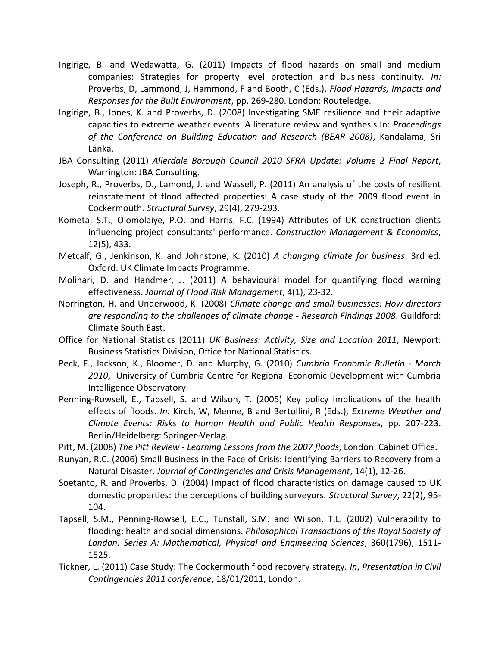- Ingirige, B. and Wedawatta, G. (2011) Impacts of flood hazards on small and medium companies: Strategies for property level protection and business continuity. *In:* Proverbs, D, Lammond, J, Hammond, F and Booth, C (Eds.), *Flood Hazards, Impacts and Responses for the Built Environment*, pp. 269-280. London: Routeledge.
- Ingirige, B., Jones, K. and Proverbs, D. (2008) Investigating SME resilience and their adaptive capacities to extreme weather events: A literature review and synthesis In: *Proceedings of the Conference on Building Education and Research (BEAR 2008)*, Kandalama, Sri Lanka.
- JBA Consulting (2011) *Allerdale Borough Council 2010 SFRA Update: Volume 2 Final Report*, Warrington: JBA Consulting.
- Joseph, R., Proverbs, D., Lamond, J. and Wassell, P. (2011) An analysis of the costs of resilient reinstatement of flood affected properties: A case study of the 2009 flood event in Cockermouth. *Structural Survey*, 29(4), 279-293.
- Kometa, S.T., Olomolaiye, P.O. and Harris, F.C. (1994) Attributes of UK construction clients influencing project consultants' performance. *Construction Management & Economics*, 12(5), 433.
- Metcalf, G., Jenkinson, K. and Johnstone, K. (2010) *A changing climate for business*. 3rd ed. Oxford: UK Climate Impacts Programme.
- Molinari, D. and Handmer, J. (2011) A behavioural model for quantifying flood warning effectiveness. *Journal of Flood Risk Management*, 4(1), 23-32.
- Norrington, H. and Underwood, K. (2008) *Climate change and small businesses: How directors are responding to the challenges of climate change - Research Findings 2008*. Guildford: Climate South East.
- Office for National Statistics (2011) *UK Business: Activity, Size and Location 2011*, Newport: Business Statistics Division, Office for National Statistics.
- Peck, F., Jackson, K., Bloomer, D. and Murphy, G. (2010) *Cumbria Economic Bulletin - March 2010*, University of Cumbria Centre for Regional Economic Development with Cumbria Intelligence Observatory.
- Penning-Rowsell, E., Tapsell, S. and Wilson, T. (2005) Key policy implications of the health effects of floods. *In:* Kirch, W, Menne, B and Bertollini, R (Eds.), *Extreme Weather and Climate Events: Risks to Human Health and Public Health Responses*, pp. 207-223. Berlin/Heidelberg: Springer-Verlag.
- Pitt, M. (2008) *The Pitt Review - Learning Lessons from the 2007 floods*, London: Cabinet Office.
- Runyan, R.C. (2006) Small Business in the Face of Crisis: Identifying Barriers to Recovery from a Natural Disaster. *Journal of Contingencies and Crisis Management*, 14(1), 12-26.
- Soetanto, R. and Proverbs, D. (2004) Impact of flood characteristics on damage caused to UK domestic properties: the perceptions of building surveyors. *Structural Survey*, 22(2), 95- 104.
- Tapsell, S.M., Penning-Rowsell, E.C., Tunstall, S.M. and Wilson, T.L. (2002) Vulnerability to flooding: health and social dimensions. *Philosophical Transactions of the Royal Society of London. Series A: Mathematical, Physical and Engineering Sciences*, 360(1796), 1511- 1525.
- Tickner, L. (2011) Case Study: The Cockermouth flood recovery strategy. *In*, *Presentation in Civil Contingencies 2011 conference*, 18/01/2011, London.